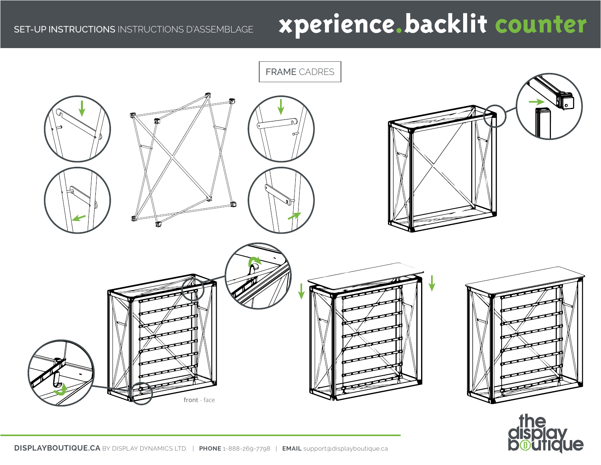# SET-UP INSTRUCTIONS INSTRUCTIONS D'ASSEMBLAGE **xperience.backlit counter**



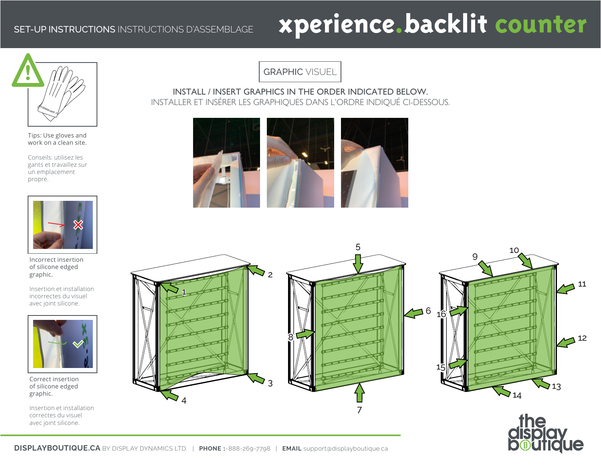## SET-UP INSTRUCTIONS INSTRUCTIONS D'ASSEMBLAGE **xperience.backlit counter**



Tips: Use gloves and work on a clean site.

Conseils: utilisez les gants et travaillez sur un emplacement propre.



Incorrect insertion of silicone edged graphic.

Insertion et installation incorrectes du visuel avec joint silicone.



Correct insertion of silicone edged graphic.

Insertion et installation correctes du visuel avec joint silicone.

GRAPHIC VISUEL

INSTALL / INSERT GRAPHICS IN THE ORDER INDICATED BELOW. INSTALLER ET INSÉRER LES GRAPHIQUES DANS L'ORDRE INDIQUÉ CI-DESSOUS.